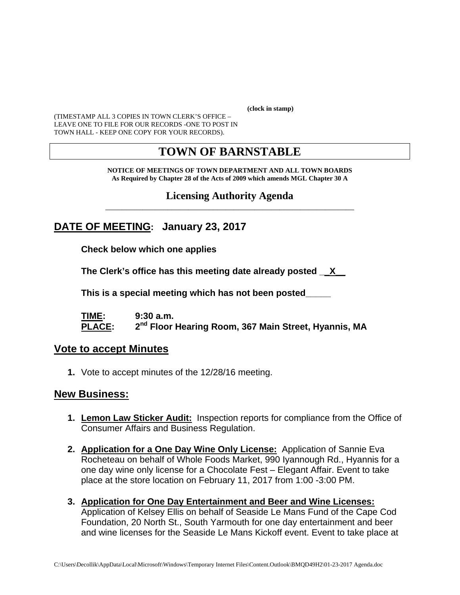**(clock in stamp)** 

(TIMESTAMP ALL 3 COPIES IN TOWN CLERK'S OFFICE – LEAVE ONE TO FILE FOR OUR RECORDS -ONE TO POST IN TOWN HALL - KEEP ONE COPY FOR YOUR RECORDS).

## **TOWN OF BARNSTABLE**

#### **NOTICE OF MEETINGS OF TOWN DEPARTMENT AND ALL TOWN BOARDS As Required by Chapter 28 of the Acts of 2009 which amends MGL Chapter 30 A**

#### **Licensing Authority Agenda** \_\_\_\_\_\_\_\_\_\_\_\_\_\_\_\_\_\_\_\_\_\_\_\_\_\_\_\_\_\_\_\_\_\_\_\_\_\_\_\_\_\_\_\_\_\_\_\_\_\_\_\_\_\_\_\_\_\_\_\_

## **DATE OF MEETING: January 23, 2017**

**Check below which one applies** 

**The Clerk's office has this meeting date already posted \_\_X\_\_** 

 **This is a special meeting which has not been posted\_\_\_\_\_** 

**TIME: 9:30 a.m. PLACE: 2nd Floor Hearing Room, 367 Main Street, Hyannis, MA**

#### **Vote to accept Minutes**

**1.** Vote to accept minutes of the 12/28/16 meeting.

### **New Business:**

- **1. Lemon Law Sticker Audit:** Inspection reports for compliance from the Office of Consumer Affairs and Business Regulation.
- **2. Application for a One Day Wine Only License:** Application of Sannie Eva Rocheteau on behalf of Whole Foods Market, 990 Iyannough Rd., Hyannis for a one day wine only license for a Chocolate Fest – Elegant Affair. Event to take place at the store location on February 11, 2017 from 1:00 -3:00 PM.
- **3. Application for One Day Entertainment and Beer and Wine Licenses:** Application of Kelsey Ellis on behalf of Seaside Le Mans Fund of the Cape Cod Foundation, 20 North St., South Yarmouth for one day entertainment and beer and wine licenses for the Seaside Le Mans Kickoff event. Event to take place at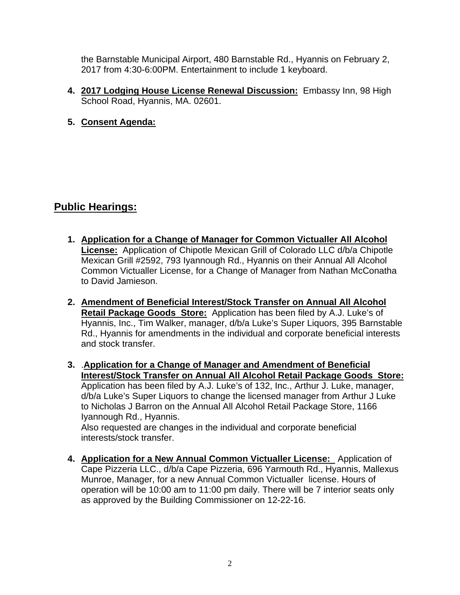the Barnstable Municipal Airport, 480 Barnstable Rd., Hyannis on February 2, 2017 from 4:30-6:00PM. Entertainment to include 1 keyboard.

- **4. 2017 Lodging House License Renewal Discussion:** Embassy Inn, 98 High School Road, Hyannis, MA. 02601.
- **5. Consent Agenda:**

## **Public Hearings:**

- **1. Application for a Change of Manager for Common Victualler All Alcohol License:** Application of Chipotle Mexican Grill of Colorado LLC d/b/a Chipotle Mexican Grill #2592, 793 Iyannough Rd., Hyannis on their Annual All Alcohol Common Victualler License, for a Change of Manager from Nathan McConatha to David Jamieson.
- **2. Amendment of Beneficial Interest/Stock Transfer on Annual All Alcohol Retail Package Goods Store:** Application has been filed by A.J. Luke's of Hyannis, Inc., Tim Walker, manager, d/b/a Luke's Super Liquors, 395 Barnstable Rd., Hyannis for amendments in the individual and corporate beneficial interests and stock transfer.
- **3.** .**Application for a Change of Manager and Amendment of Beneficial Interest/Stock Transfer on Annual All Alcohol Retail Package Goods Store:**  Application has been filed by A.J. Luke's of 132, Inc., Arthur J. Luke, manager, d/b/a Luke's Super Liquors to change the licensed manager from Arthur J Luke to Nicholas J Barron on the Annual All Alcohol Retail Package Store, 1166 Iyannough Rd., Hyannis. Also requested are changes in the individual and corporate beneficial

interests/stock transfer.

**4. Application for a New Annual Common Victualler License:** Application of Cape Pizzeria LLC., d/b/a Cape Pizzeria, 696 Yarmouth Rd., Hyannis, Mallexus Munroe, Manager, for a new Annual Common Victualler license. Hours of operation will be 10:00 am to 11:00 pm daily. There will be 7 interior seats only as approved by the Building Commissioner on 12-22-16.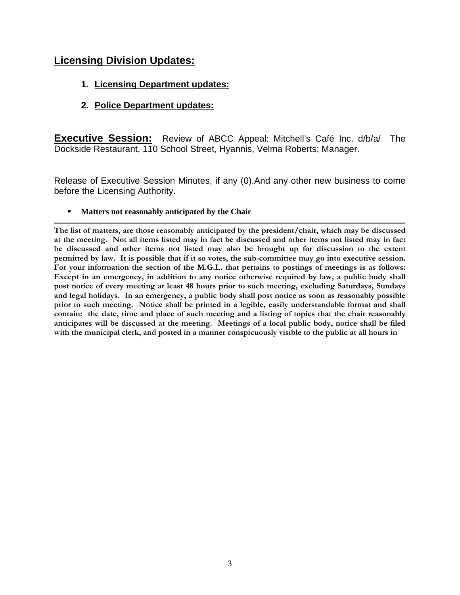## **Licensing Division Updates:**

- **1. Licensing Department updates:**
- **2. Police Department updates:**

**Executive Session:** Review of ABCC Appeal: Mitchell's Café Inc. d/b/a/ The Dockside Restaurant, 110 School Street, Hyannis, Velma Roberts; Manager.

Release of Executive Session Minutes, if any (0).And any other new business to come before the Licensing Authority.

**Matters not reasonably anticipated by the Chair** 

**The list of matters, are those reasonably anticipated by the president/chair, which may be discussed at the meeting. Not all items listed may in fact be discussed and other items not listed may in fact be discussed and other items not listed may also be brought up for discussion to the extent permitted by law. It is possible that if it so votes, the sub-committee may go into executive session. For your information the section of the M.G.L. that pertains to postings of meetings is as follows: Except in an emergency, in addition to any notice otherwise required by law, a public body shall post notice of every meeting at least 48 hours prior to such meeting, excluding Saturdays, Sundays and legal holidays. In an emergency, a public body shall post notice as soon as reasonably possible prior to such meeting. Notice shall be printed in a legible, easily understandable format and shall contain: the date, time and place of such meeting and a listing of topics that the chair reasonably anticipates will be discussed at the meeting. Meetings of a local public body, notice shall be filed with the municipal clerk, and posted in a manner conspicuously visible to the public at all hours in**